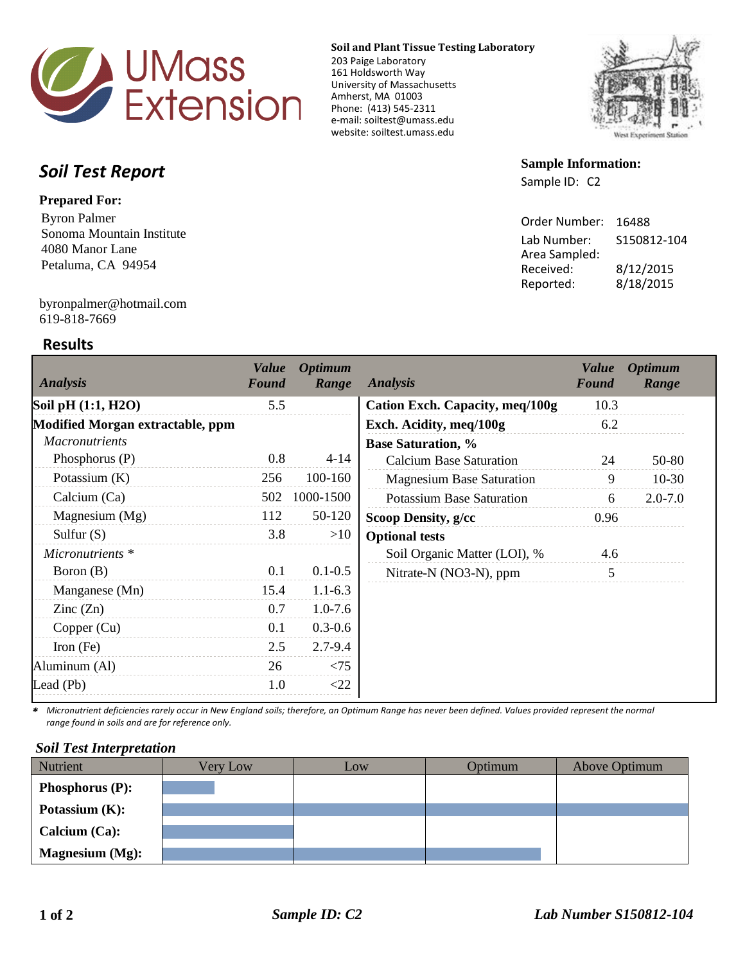

**Soil and Plant Tissue Testing Laboratory**

203 Paige Laboratory 161 Holdsworth Way University of Massachusetts Amherst, MA 01003 Phone: (413) 545-2311 e-mail: soiltest@umass.edu website: soiltest.umass.edu



# *Soil Test Report*

#### **Prepared For:**

Byron Palmer Sonoma Mountain Institute 4080 Manor Lane Petaluma, CA 94954

## **Sample Information:** Sample ID: C2

| Order Number: | 16488       |
|---------------|-------------|
| Lab Number:   | S150812-104 |
| Area Sampled: |             |
| Received:     | 8/12/2015   |
| Reported:     | 8/18/2015   |
|               |             |

619-818-7669 byronpalmer@hotmail.com

## **Results**

| <b>Analysis</b>                  | <b>Value</b><br><b>Found</b> | <b>Optimum</b><br>Range | <b>Analysis</b>                  | <i>Value</i><br>Found | <b>Optimum</b><br>Range |
|----------------------------------|------------------------------|-------------------------|----------------------------------|-----------------------|-------------------------|
| Soil pH (1:1, H2O)               | 5.5                          |                         | Cation Exch. Capacity, meq/100g  | 10.3                  |                         |
| Modified Morgan extractable, ppm |                              |                         | Exch. Acidity, meq/100g          | 6.2                   |                         |
| <b>Macronutrients</b>            |                              |                         | <b>Base Saturation, %</b>        |                       |                         |
| Phosphorus $(P)$                 | 0.8                          | $4 - 14$                | <b>Calcium Base Saturation</b>   | 24                    | 50-80                   |
| Potassium $(K)$                  | 256                          | 100-160                 | <b>Magnesium Base Saturation</b> | 9                     | $10-30$                 |
| Calcium (Ca)                     | 502                          | 1000-1500               | <b>Potassium Base Saturation</b> | 6                     | $2.0 - 7.0$             |
| Magnesium (Mg)                   | 112                          | 50-120                  | Scoop Density, g/cc              | 0.96                  |                         |
| Sulfur $(S)$                     | 3.8                          | >10                     | <b>Optional tests</b>            |                       |                         |
| Micronutrients *                 |                              |                         | Soil Organic Matter (LOI), %     | 4.6                   |                         |
| Boron (B)                        | 0.1                          | $0.1 - 0.5$             | Nitrate-N (NO3-N), ppm           | 5                     |                         |
| Manganese (Mn)                   | 15.4                         | $1.1 - 6.3$             |                                  |                       |                         |
| $\text{Zinc}(\text{Zn})$         | 0.7                          | $1.0 - 7.6$             |                                  |                       |                         |
| Copper (Cu)                      | 0.1                          | $0.3 - 0.6$             |                                  |                       |                         |
| Iron $(Fe)$                      | 2.5                          | $2.7 - 9.4$             |                                  |                       |                         |
| Aluminum (Al)                    | 26                           | < 75                    |                                  |                       |                         |
| Lead (Pb)                        | 1.0                          | $<$ 22                  |                                  |                       |                         |

*\* Micronutrient deficiencies rarely occur in New England soils; therefore, an Optimum Range has never been defined. Values provided represent the normal range found in soils and are for reference only.* 

#### *Soil Test Interpretation*

| Nutrient               | Very Low | Low | Optimum | Above Optimum |
|------------------------|----------|-----|---------|---------------|
| <b>Phosphorus (P):</b> |          |     |         |               |
| Potassium $(K)$ :      |          |     |         |               |
| Calcium $(Ca)$ :       |          |     |         |               |
| <b>Magnesium</b> (Mg): |          |     |         |               |